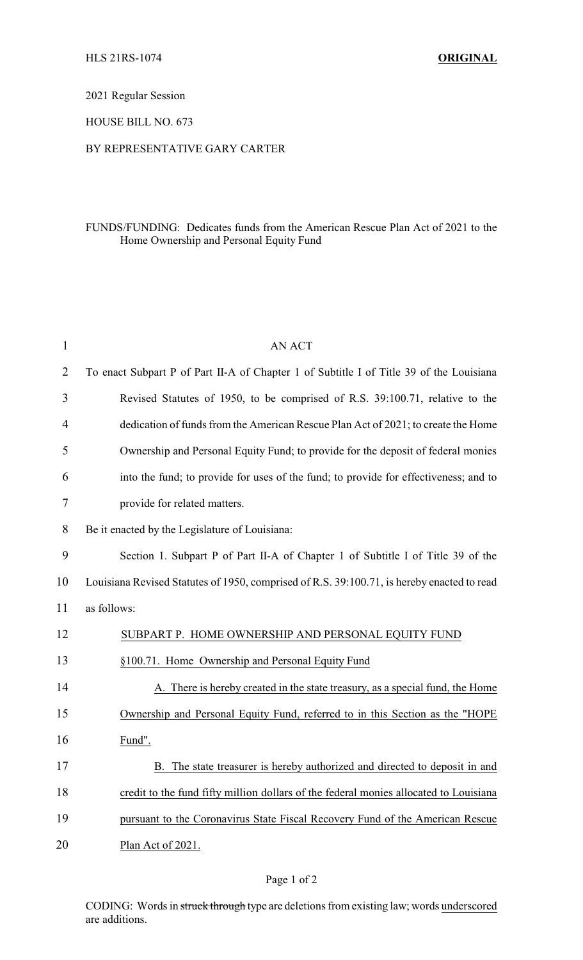2021 Regular Session

HOUSE BILL NO. 673

## BY REPRESENTATIVE GARY CARTER

## FUNDS/FUNDING: Dedicates funds from the American Rescue Plan Act of 2021 to the Home Ownership and Personal Equity Fund

| $\mathbf{1}$   | <b>AN ACT</b>                                                                              |  |  |
|----------------|--------------------------------------------------------------------------------------------|--|--|
| $\overline{2}$ | To enact Subpart P of Part II-A of Chapter 1 of Subtitle I of Title 39 of the Louisiana    |  |  |
| 3              | Revised Statutes of 1950, to be comprised of R.S. 39:100.71, relative to the               |  |  |
| 4              | dedication of funds from the American Rescue Plan Act of 2021; to create the Home          |  |  |
| 5              | Ownership and Personal Equity Fund; to provide for the deposit of federal monies           |  |  |
| 6              | into the fund; to provide for uses of the fund; to provide for effectiveness; and to       |  |  |
| 7              | provide for related matters.                                                               |  |  |
| 8              | Be it enacted by the Legislature of Louisiana:                                             |  |  |
| 9              | Section 1. Subpart P of Part II-A of Chapter 1 of Subtitle I of Title 39 of the            |  |  |
| 10             | Louisiana Revised Statutes of 1950, comprised of R.S. 39:100.71, is hereby enacted to read |  |  |
| 11             | as follows:                                                                                |  |  |
| 12             | SUBPART P. HOME OWNERSHIP AND PERSONAL EQUITY FUND                                         |  |  |
| 13             | §100.71. Home Ownership and Personal Equity Fund                                           |  |  |
| 14             | A. There is hereby created in the state treasury, as a special fund, the Home              |  |  |
| 15             | Ownership and Personal Equity Fund, referred to in this Section as the "HOPE               |  |  |
| 16             | Fund".                                                                                     |  |  |
| 17             | The state treasurer is hereby authorized and directed to deposit in and                    |  |  |
| 18             | credit to the fund fifty million dollars of the federal monies allocated to Louisiana      |  |  |
| 19             | pursuant to the Coronavirus State Fiscal Recovery Fund of the American Rescue              |  |  |
| 20             | Plan Act of 2021.                                                                          |  |  |
|                |                                                                                            |  |  |

CODING: Words in struck through type are deletions from existing law; words underscored are additions.